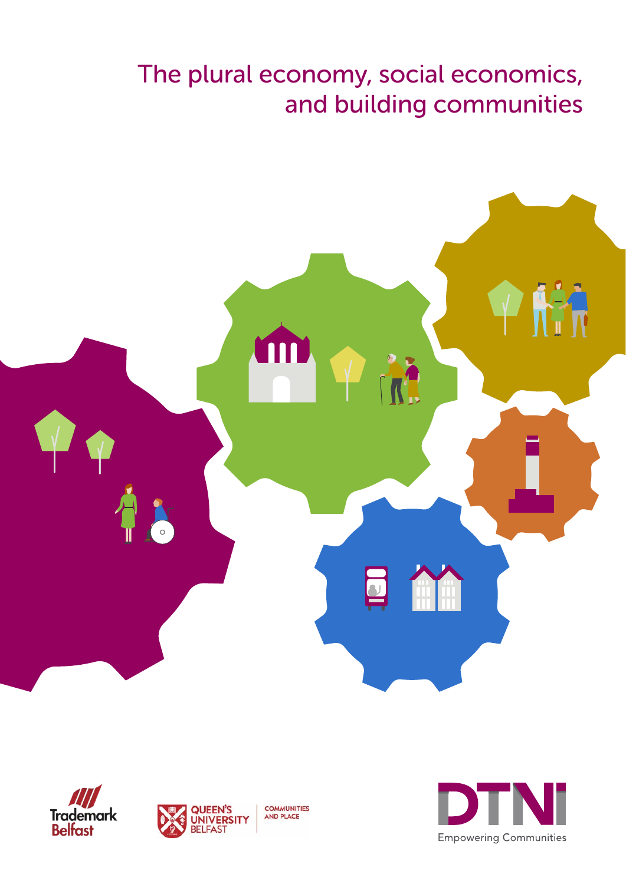## The plural economy, social economics, and building communities







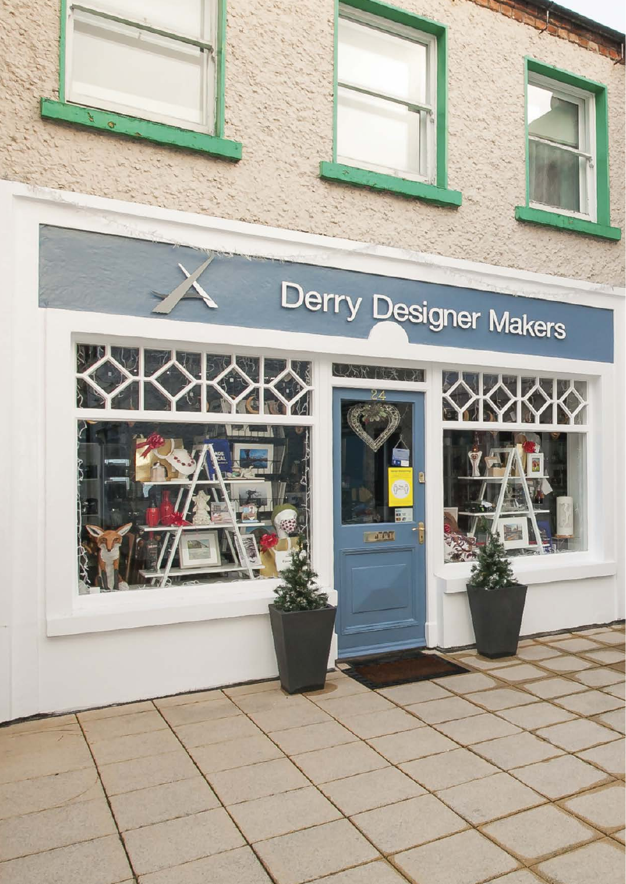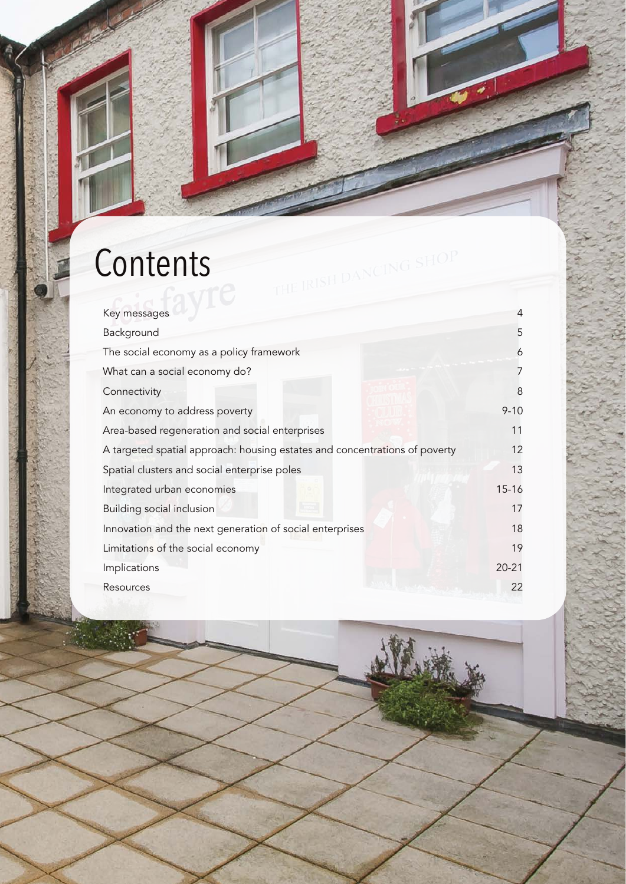# Contents

| Key messages                                                               | 4         |
|----------------------------------------------------------------------------|-----------|
| Background                                                                 | 5         |
| The social economy as a policy framework                                   | 6         |
| What can a social economy do?                                              |           |
| Connectivity                                                               | 8         |
| An economy to address poverty                                              | $9 - 10$  |
| Area-based regeneration and social enterprises                             | 11        |
| A targeted spatial approach: housing estates and concentrations of poverty | 12        |
| Spatial clusters and social enterprise poles                               | 13        |
| Integrated urban economies                                                 | $15 - 16$ |
| Building social inclusion                                                  | 17        |
| Innovation and the next generation of social enterprises                   | 18        |
| Limitations of the social economy                                          | 19        |
| Implications                                                               | $20 - 21$ |
| Resources                                                                  | 22        |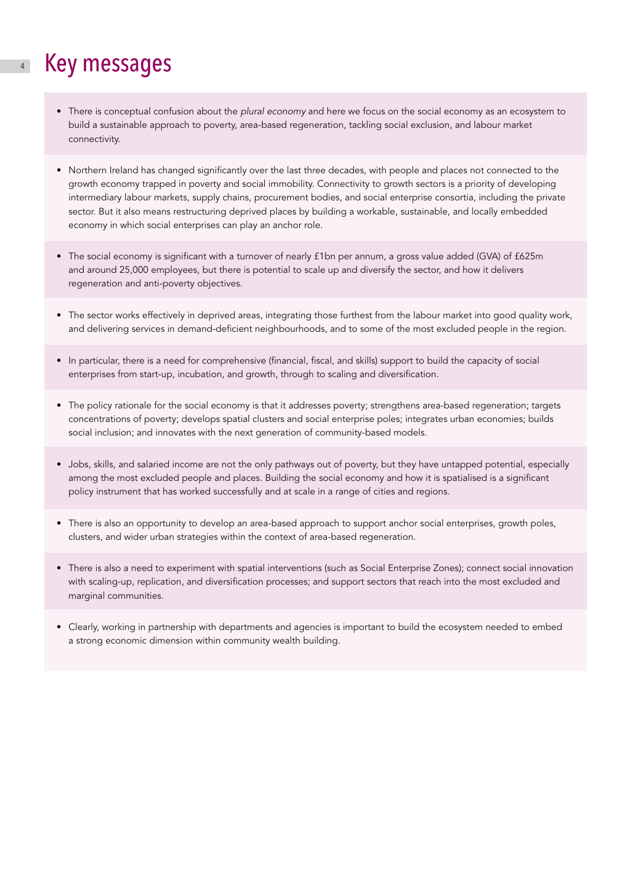### **<sup>4</sup>** Key messages

- There is conceptual confusion about the plural economy and here we focus on the social economy as an ecosystem to build a sustainable approach to poverty, area-based regeneration, tackling social exclusion, and labour market connectivity.
- Northern Ireland has changed significantly over the last three decades, with people and places not connected to the growth economy trapped in poverty and social immobility. Connectivity to growth sectors is a priority of developing intermediary labour markets, supply chains, procurement bodies, and social enterprise consortia, including the private sector. But it also means restructuring deprived places by building a workable, sustainable, and locally embedded economy in which social enterprises can play an anchor role.
- The social economy is significant with a turnover of nearly £1bn per annum, a gross value added (GVA) of £625m and around 25,000 employees, but there is potential to scale up and diversify the sector, and how it delivers regeneration and anti-poverty objectives.
- The sector works effectively in deprived areas, integrating those furthest from the labour market into good quality work, and delivering services in demand-deficient neighbourhoods, and to some of the most excluded people in the region.
- In particular, there is a need for comprehensive (financial, fiscal, and skills) support to build the capacity of social enterprises from start-up, incubation, and growth, through to scaling and diversification.
- The policy rationale for the social economy is that it addresses poverty; strengthens area-based regeneration; targets concentrations of poverty; develops spatial clusters and social enterprise poles; integrates urban economies; builds social inclusion; and innovates with the next generation of community-based models.
- Jobs, skills, and salaried income are not the only pathways out of poverty, but they have untapped potential, especially among the most excluded people and places. Building the social economy and how it is spatialised is a significant policy instrument that has worked successfully and at scale in a range of cities and regions.
- There is also an opportunity to develop an area-based approach to support anchor social enterprises, growth poles, clusters, and wider urban strategies within the context of area-based regeneration.
- There is also a need to experiment with spatial interventions (such as Social Enterprise Zones); connect social innovation with scaling-up, replication, and diversification processes; and support sectors that reach into the most excluded and marginal communities.
- Clearly, working in partnership with departments and agencies is important to build the ecosystem needed to embed a strong economic dimension within community wealth building.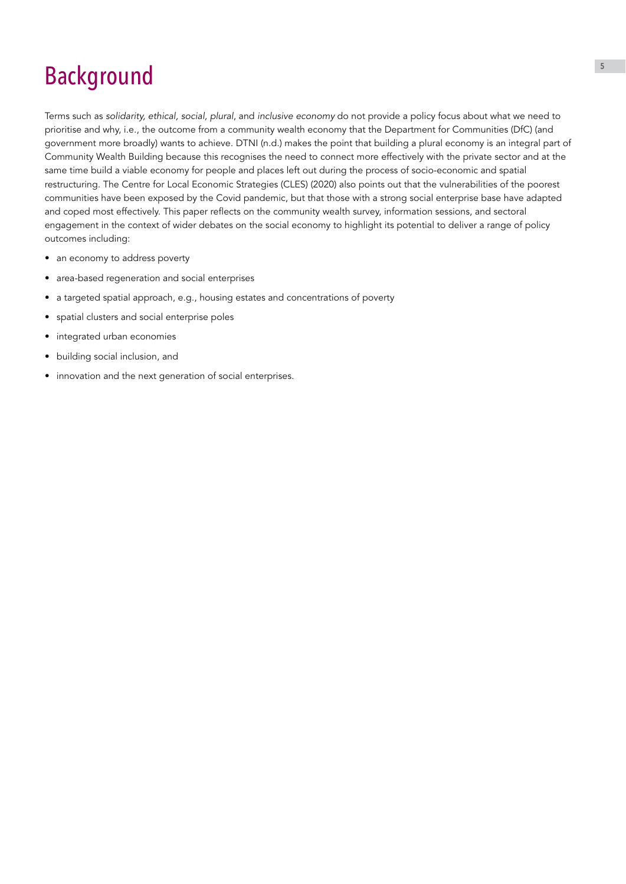### Background

Terms such as solidarity, ethical, social, plural, and inclusive economy do not provide a policy focus about what we need to prioritise and why, i.e., the outcome from a community wealth economy that the Department for Communities (DfC) (and government more broadly) wants to achieve. DTNI (n.d.) makes the point that building a plural economy is an integral part of Community Wealth Building because this recognises the need to connect more effectively with the private sector and at the same time build a viable economy for people and places left out during the process of socio-economic and spatial restructuring. The Centre for Local Economic Strategies (CLES) (2020) also points out that the vulnerabilities of the poorest communities have been exposed by the Covid pandemic, but that those with a strong social enterprise base have adapted and coped most effectively. This paper reflects on the community wealth survey, information sessions, and sectoral engagement in the context of wider debates on the social economy to highlight its potential to deliver a range of policy outcomes including:

- an economy to address poverty
- area-based regeneration and social enterprises
- a targeted spatial approach, e.g., housing estates and concentrations of poverty
- spatial clusters and social enterprise poles
- integrated urban economies
- building social inclusion, and
- innovation and the next generation of social enterprises.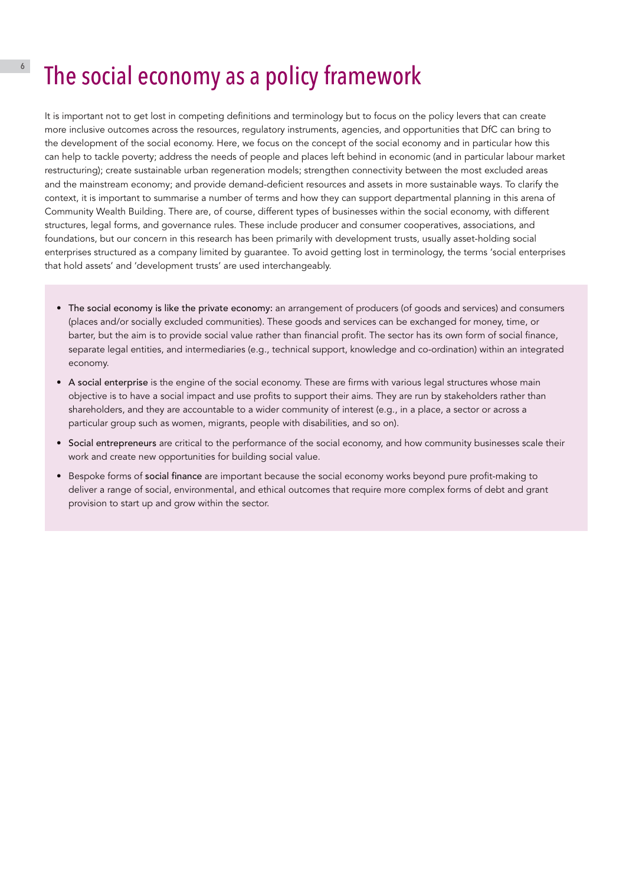### The social economy as a policy framework

It is important not to get lost in competing definitions and terminology but to focus on the policy levers that can create more inclusive outcomes across the resources, regulatory instruments, agencies, and opportunities that DfC can bring to the development of the social economy. Here, we focus on the concept of the social economy and in particular how this can help to tackle poverty; address the needs of people and places left behind in economic (and in particular labour market restructuring); create sustainable urban regeneration models; strengthen connectivity between the most excluded areas and the mainstream economy; and provide demand-deficient resources and assets in more sustainable ways. To clarify the context, it is important to summarise a number of terms and how they can support departmental planning in this arena of Community Wealth Building. There are, of course, different types of businesses within the social economy, with different structures, legal forms, and governance rules. These include producer and consumer cooperatives, associations, and foundations, but our concern in this research has been primarily with development trusts, usually asset-holding social enterprises structured as a company limited by guarantee. To avoid getting lost in terminology, the terms 'social enterprises that hold assets' and 'development trusts' are used interchangeably.

- The social economy is like the private economy: an arrangement of producers (of goods and services) and consumers (places and/or socially excluded communities). These goods and services can be exchanged for money, time, or barter, but the aim is to provide social value rather than financial profit. The sector has its own form of social finance, separate legal entities, and intermediaries (e.g., technical support, knowledge and co-ordination) within an integrated economy.
- A social enterprise is the engine of the social economy. These are firms with various legal structures whose main objective is to have a social impact and use profits to support their aims. They are run by stakeholders rather than shareholders, and they are accountable to a wider community of interest (e.g., in a place, a sector or across a particular group such as women, migrants, people with disabilities, and so on).
- Social entrepreneurs are critical to the performance of the social economy, and how community businesses scale their work and create new opportunities for building social value.
- Bespoke forms of social finance are important because the social economy works beyond pure profit-making to deliver a range of social, environmental, and ethical outcomes that require more complex forms of debt and grant provision to start up and grow within the sector.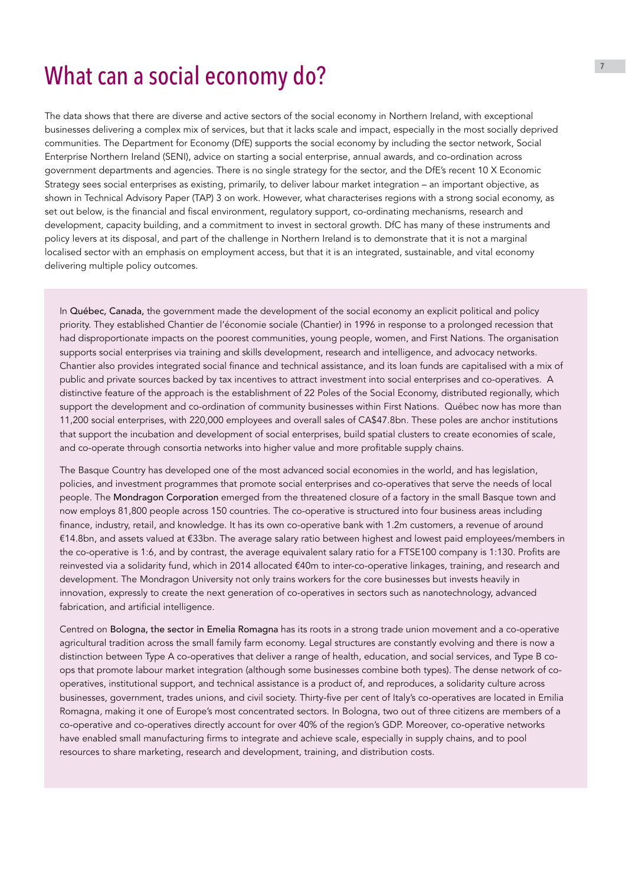### What can a social economy do?

The data shows that there are diverse and active sectors of the social economy in Northern Ireland, with exceptional businesses delivering a complex mix of services, but that it lacks scale and impact, especially in the most socially deprived communities. The Department for Economy (DfE) supports the social economy by including the sector network, Social Enterprise Northern Ireland (SENI), advice on starting a social enterprise, annual awards, and co-ordination across government departments and agencies. There is no single strategy for the sector, and the DfE's recent 10 X Economic Strategy sees social enterprises as existing, primarily, to deliver labour market integration – an important objective, as shown in Technical Advisory Paper (TAP) 3 on work. However, what characterises regions with a strong social economy, as set out below, is the financial and fiscal environment, regulatory support, co-ordinating mechanisms, research and development, capacity building, and a commitment to invest in sectoral growth. DfC has many of these instruments and policy levers at its disposal, and part of the challenge in Northern Ireland is to demonstrate that it is not a marginal localised sector with an emphasis on employment access, but that it is an integrated, sustainable, and vital economy delivering multiple policy outcomes.

In Québec, Canada, the government made the development of the social economy an explicit political and policy priority. They established Chantier de l'économie sociale (Chantier) in 1996 in response to a prolonged recession that had disproportionate impacts on the poorest communities, young people, women, and First Nations. The organisation supports social enterprises via training and skills development, research and intelligence, and advocacy networks. Chantier also provides integrated social finance and technical assistance, and its loan funds are capitalised with a mix of public and private sources backed by tax incentives to attract investment into social enterprises and co-operatives. A distinctive feature of the approach is the establishment of 22 Poles of the Social Economy, distributed regionally, which support the development and co-ordination of community businesses within First Nations. Québec now has more than 11,200 social enterprises, with 220,000 employees and overall sales of CA\$47.8bn. These poles are anchor institutions that support the incubation and development of social enterprises, build spatial clusters to create economies of scale, and co-operate through consortia networks into higher value and more profitable supply chains.

The Basque Country has developed one of the most advanced social economies in the world, and has legislation, policies, and investment programmes that promote social enterprises and co-operatives that serve the needs of local people. The Mondragon Corporation emerged from the threatened closure of a factory in the small Basque town and now employs 81,800 people across 150 countries. The co-operative is structured into four business areas including finance, industry, retail, and knowledge. It has its own co-operative bank with 1.2m customers, a revenue of around €14.8bn, and assets valued at €33bn. The average salary ratio between highest and lowest paid employees/members in the co-operative is 1:6, and by contrast, the average equivalent salary ratio for a FTSE100 company is 1:130. Profits are reinvested via a solidarity fund, which in 2014 allocated €40m to inter-co-operative linkages, training, and research and development. The Mondragon University not only trains workers for the core businesses but invests heavily in innovation, expressly to create the next generation of co-operatives in sectors such as nanotechnology, advanced fabrication, and artificial intelligence.

Centred on Bologna, the sector in Emelia Romagna has its roots in a strong trade union movement and a co-operative agricultural tradition across the small family farm economy. Legal structures are constantly evolving and there is now a distinction between Type A co-operatives that deliver a range of health, education, and social services, and Type B coops that promote labour market integration (although some businesses combine both types). The dense network of cooperatives, institutional support, and technical assistance is a product of, and reproduces, a solidarity culture across businesses, government, trades unions, and civil society. Thirty-five per cent of Italy's co-operatives are located in Emilia Romagna, making it one of Europe's most concentrated sectors. In Bologna, two out of three citizens are members of a co-operative and co-operatives directly account for over 40% of the region's GDP. Moreover, co-operative networks have enabled small manufacturing firms to integrate and achieve scale, especially in supply chains, and to pool resources to share marketing, research and development, training, and distribution costs.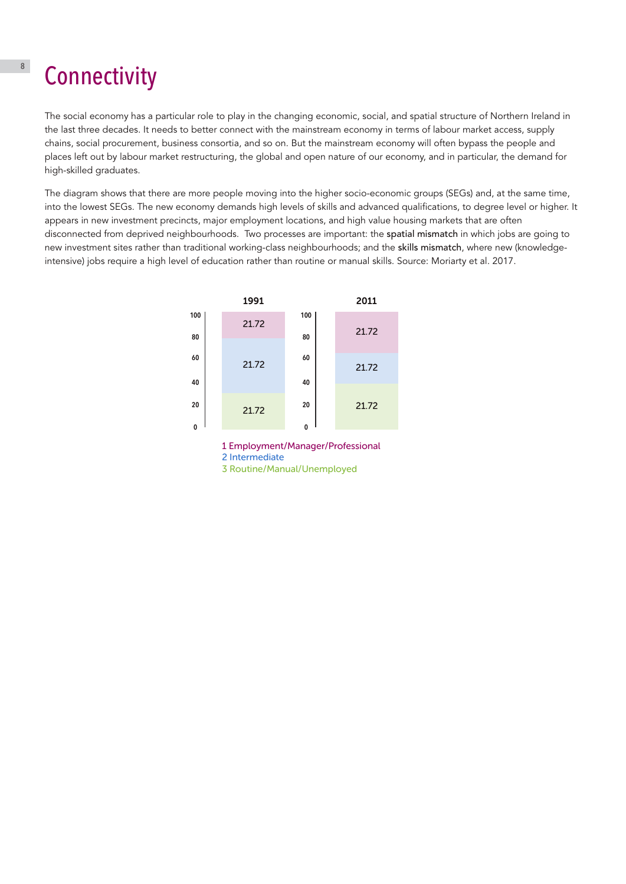### **Connectivity**

The social economy has a particular role to play in the changing economic, social, and spatial structure of Northern Ireland in the last three decades. It needs to better connect with the mainstream economy in terms of labour market access, supply chains, social procurement, business consortia, and so on. But the mainstream economy will often bypass the people and places left out by labour market restructuring, the global and open nature of our economy, and in particular, the demand for high-skilled graduates.

The diagram shows that there are more people moving into the higher socio-economic groups (SEGs) and, at the same time, into the lowest SEGs. The new economy demands high levels of skills and advanced qualifications, to degree level or higher. It appears in new investment precincts, major employment locations, and high value housing markets that are often disconnected from deprived neighbourhoods. Two processes are important: the spatial mismatch in which jobs are going to new investment sites rather than traditional working-class neighbourhoods; and the skills mismatch, where new (knowledgeintensive) jobs require a high level of education rather than routine or manual skills. Source: Moriarty et al. 2017.



1 Employment/Manager/Professional 2 Intermediate

3 Routine/Manual/Unemployed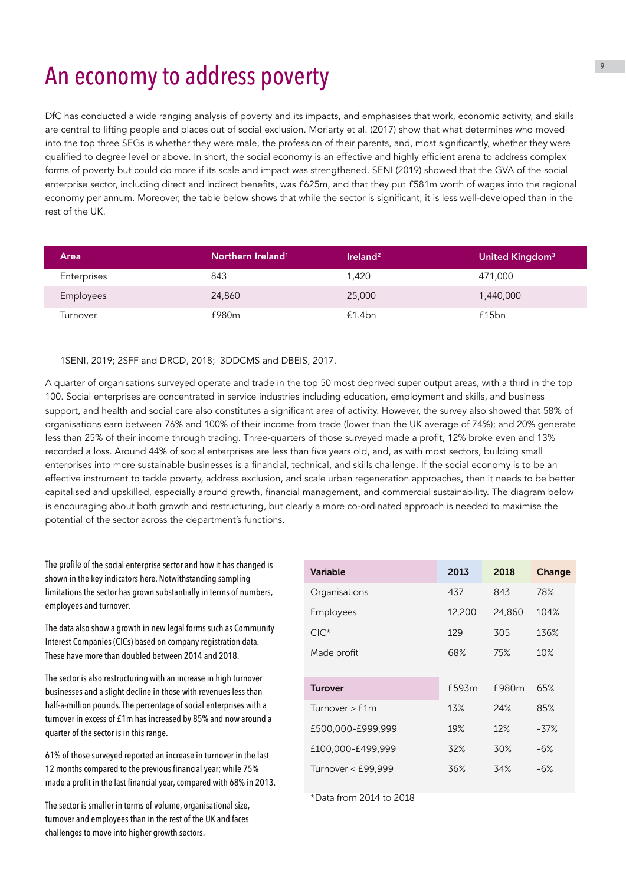### An economy to address poverty

DfC has conducted a wide ranging analysis of poverty and its impacts, and emphasises that work, economic activity, and skills are central to lifting people and places out of social exclusion. Moriarty et al. (2017) show that what determines who moved into the top three SEGs is whether they were male, the profession of their parents, and, most significantly, whether they were qualified to degree level or above. In short, the social economy is an effective and highly efficient arena to address complex forms of poverty but could do more if its scale and impact was strengthened. SENI (2019) showed that the GVA of the social enterprise sector, including direct and indirect benefits, was £625m, and that they put £581m worth of wages into the regional economy per annum. Moreover, the table below shows that while the sector is significant, it is less well-developed than in the rest of the UK.

| Area        | Northern Ireland <sup>1</sup> | Ireland <sup>2</sup> | United Kingdom <sup>3</sup> |
|-------------|-------------------------------|----------------------|-----------------------------|
| Enterprises | 843                           | 1,420                | 471,000                     |
| Employees   | 24,860                        | 25,000               | 1,440,000                   |
| Turnover    | £980m                         | €1.4bn               | £15 <sub>bn</sub>           |

#### 1SENI, 2019; 2SFF and DRCD, 2018; 3DDCMS and DBEIS, 2017.

A quarter of organisations surveyed operate and trade in the top 50 most deprived super output areas, with a third in the top 100. Social enterprises are concentrated in service industries including education, employment and skills, and business support, and health and social care also constitutes a significant area of activity. However, the survey also showed that 58% of organisations earn between 76% and 100% of their income from trade (lower than the UK average of 74%); and 20% generate less than 25% of their income through trading. Three-quarters of those surveyed made a profit, 12% broke even and 13% recorded a loss. Around 44% of social enterprises are less than five years old, and, as with most sectors, building small enterprises into more sustainable businesses is a financial, technical, and skills challenge. If the social economy is to be an effective instrument to tackle poverty, address exclusion, and scale urban regeneration approaches, then it needs to be better capitalised and upskilled, especially around growth, financial management, and commercial sustainability. The diagram below is encouraging about both growth and restructuring, but clearly a more co-ordinated approach is needed to maximise the potential of the sector across the department's functions.

The profile of the social enterprise sector and how it has changed is shown in the key indicators here. Notwithstanding sampling limitations the sector has grown substantially in terms of numbers, employees and turnover.

The data also show a growth in new legal forms such as Community Interest Companies (CICs) based on company registration data. These have more than doubled between 2014 and 2018.

The sector is also restructuring with an increase in high turnover businesses and a slight decline in those with revenues less than half-a-million pounds. The percentage of social enterprises with a turnover in excess of £1m has increased by 85% and now around a quarter of the sector is in this range.

61% of those surveyed reported an increase in turnover in the last 12 months compared to the previous financial year; while 75% made a profit in the last financial year, compared with 68% in 2013.

The sector is smaller in terms of volume, organisational size, turnover and employees than in the rest of the UK and faces challenges to move into higher growth sectors.

| Variable           | 2013   | 2018   | Change |
|--------------------|--------|--------|--------|
| Organisations      | 437    | 843    | 78%    |
| Employees          | 12,200 | 24,860 | 104%   |
| $CIC^*$            | 129    | 305    | 136%   |
| Made profit        | 68%    | 75%    | 10%    |
|                    |        |        |        |
| <b>Turover</b>     | £593m  | £980m  | 65%    |
| Turnover > f1m     | 13%    | 24%    | 85%    |
| £500,000-£999,999  | 19%    | 12%    | $-37%$ |
| £100,000-£499,999  | 32%    | 30%    | $-6%$  |
| Turnover < £99,999 | 36%    | 34%    | $-6%$  |

\*Data from 2014 to 2018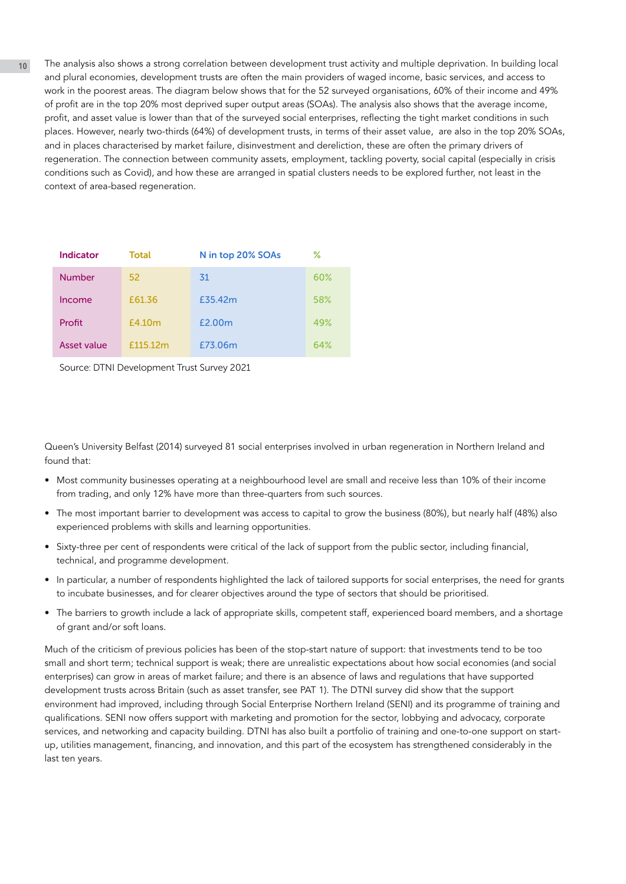**10** The analysis also shows a strong correlation between development trust activity and multiple deprivation. In building local and plural economies, development trusts are often the main providers of waged income, basic services, and access to work in the poorest areas. The diagram below shows that for the 52 surveyed organisations, 60% of their income and 49% of profit are in the top 20% most deprived super output areas (SOAs). The analysis also shows that the average income, profit, and asset value is lower than that of the surveyed social enterprises, reflecting the tight market conditions in such places. However, nearly two-thirds (64%) of development trusts, in terms of their asset value, are also in the top 20% SOAs, and in places characterised by market failure, disinvestment and dereliction, these are often the primary drivers of regeneration. The connection between community assets, employment, tackling poverty, social capital (especially in crisis conditions such as Covid), and how these are arranged in spatial clusters needs to be explored further, not least in the context of area-based regeneration.

| Indicator     | <b>Total</b> | N in top 20% SOAs | ℅   |
|---------------|--------------|-------------------|-----|
| <b>Number</b> | 52           | 31                | 60% |
| Income        | £61.36       | £35.42m           | 58% |
| Profit        | £4.10m       | £2.00m            | 49% |
| Asset value   | £115.12m     | £73.06m           | 64% |

Source: DTNI Development Trust Survey 2021

Queen's University Belfast (2014) surveyed 81 social enterprises involved in urban regeneration in Northern Ireland and found that:

- Most community businesses operating at a neighbourhood level are small and receive less than 10% of their income from trading, and only 12% have more than three-quarters from such sources.
- The most important barrier to development was access to capital to grow the business (80%), but nearly half (48%) also experienced problems with skills and learning opportunities.
- Sixty-three per cent of respondents were critical of the lack of support from the public sector, including financial, technical, and programme development.
- In particular, a number of respondents highlighted the lack of tailored supports for social enterprises, the need for grants to incubate businesses, and for clearer objectives around the type of sectors that should be prioritised.
- The barriers to growth include a lack of appropriate skills, competent staff, experienced board members, and a shortage of grant and/or soft loans.

Much of the criticism of previous policies has been of the stop-start nature of support: that investments tend to be too small and short term; technical support is weak; there are unrealistic expectations about how social economies (and social enterprises) can grow in areas of market failure; and there is an absence of laws and regulations that have supported development trusts across Britain (such as asset transfer, see PAT 1). The DTNI survey did show that the support environment had improved, including through Social Enterprise Northern Ireland (SENI) and its programme of training and qualifications. SENI now offers support with marketing and promotion for the sector, lobbying and advocacy, corporate services, and networking and capacity building. DTNI has also built a portfolio of training and one-to-one support on startup, utilities management, financing, and innovation, and this part of the ecosystem has strengthened considerably in the last ten years.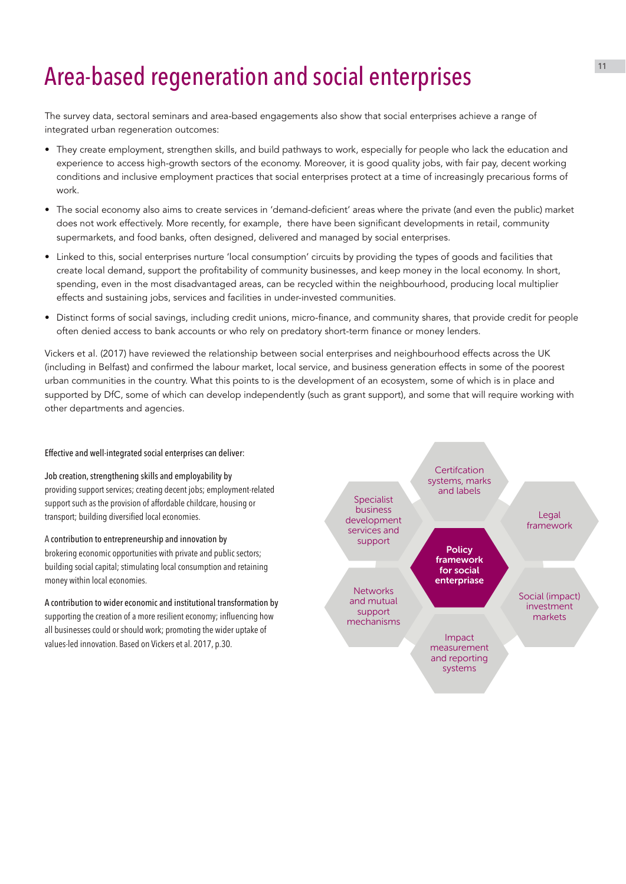# Area-based regeneration and social enterprises **111**

The survey data, sectoral seminars and area-based engagements also show that social enterprises achieve a range of integrated urban regeneration outcomes:

- They create employment, strengthen skills, and build pathways to work, especially for people who lack the education and experience to access high-growth sectors of the economy. Moreover, it is good quality jobs, with fair pay, decent working conditions and inclusive employment practices that social enterprises protect at a time of increasingly precarious forms of work.
- The social economy also aims to create services in 'demand-deficient' areas where the private (and even the public) market does not work effectively. More recently, for example, there have been significant developments in retail, community supermarkets, and food banks, often designed, delivered and managed by social enterprises.
- Linked to this, social enterprises nurture 'local consumption' circuits by providing the types of goods and facilities that create local demand, support the profitability of community businesses, and keep money in the local economy. In short, spending, even in the most disadvantaged areas, can be recycled within the neighbourhood, producing local multiplier effects and sustaining jobs, services and facilities in under-invested communities.
- Distinct forms of social savings, including credit unions, micro-finance, and community shares, that provide credit for people often denied access to bank accounts or who rely on predatory short-term finance or money lenders.

Vickers et al. (2017) have reviewed the relationship between social enterprises and neighbourhood effects across the UK (including in Belfast) and confirmed the labour market, local service, and business generation effects in some of the poorest urban communities in the country. What this points to is the development of an ecosystem, some of which is in place and supported by DfC, some of which can develop independently (such as grant support), and some that will require working with other departments and agencies.

#### Effective and well-integrated social enterprises can deliver:

Job creation, strengthening skills and employability by providing support services; creating decent jobs; employment-related support such as the provision of affordable childcare, housing or transport; building diversified local economies.

#### A contribution to entrepreneurship and innovation by

brokering economic opportunities with private and public sectors; building social capital; stimulating local consumption and retaining money within local economies.

A contribution to wider economic and institutional transformation by supporting the creation of a more resilient economy; influencing how all businesses could or should work; promoting the wider uptake of values-led innovation. Based on Vickers et al. 2017, p.30.

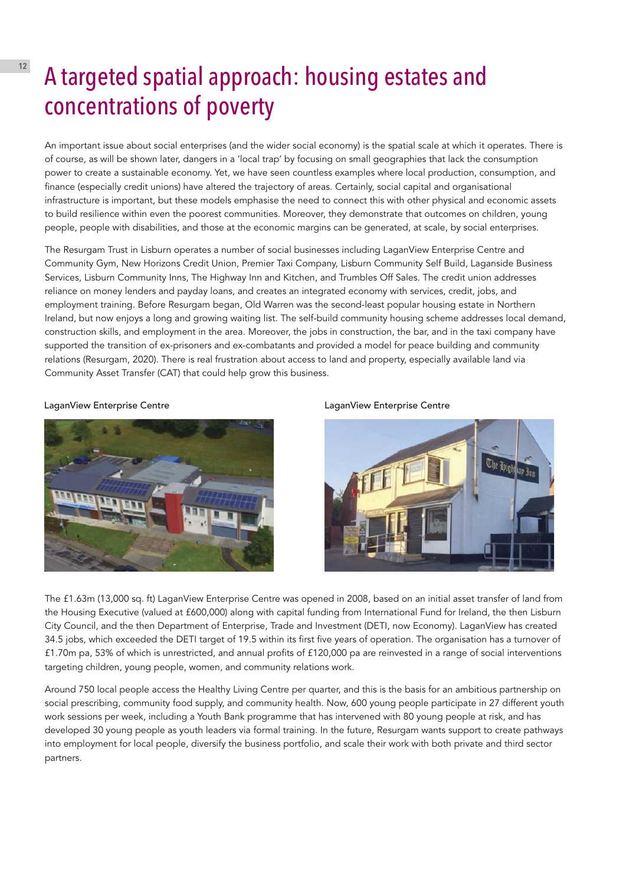## <sup>12</sup> A targeted spatial approach: housing estates and concentrations of poverty

An important issue about social enterprises (and the wider social economy) is the spatial scale at which it operates. There is of course, as will be shown later, dangers in a 'local trap' by focusing on small geographies that lack the consumption power to create a sustainable economy. Yet, we have seen countless examples where local production, consumption, and finance (especially credit unions) have altered the trajectory of areas. Certainly, social capital and organisational infrastructure is important, but these models emphasise the need to connect this with other physical and economic assets to build resilience within even the poorest communities. Moreover, they demonstrate that outcomes on children, young people, people with disabilities, and those at the economic margins can be generated, at scale, by social enterprises.

The Resurgam Trust in Lisburn operates a number of social businesses including LaganView Enterprise Centre and Community Gym, New Horizons Credit Union, Premier Taxi Company, Lisburn Community Self Build, Laganside Business Services, Lisburn Community Inns, The Highway Inn and Kitchen, and Trumbles Off Sales. The credit union addresses reliance on money lenders and payday loans, and creates an integrated economy with services, credit, jobs, and employment training. Before Resurgam began, Old Warren was the second-least popular housing estate in Northern Ireland, but now enjoys a long and growing waiting list. The self-build community housing scheme addresses local demand, construction skills, and employment in the area. Moreover, the jobs in construction, the bar, and in the taxi company have supported the transition of ex-prisoners and ex-combatants and provided a model for peace building and community relations (Resurgam, 2020). There is real frustration about access to land and property, especially available land via Community Asset Transfer (CAT) that could help grow this business.



#### LaganView Enterprise Centre LaganView Enterprise Centre



The £1.63m (13,000 sq. ft) LaganView Enterprise Centre was opened in 2008, based on an initial asset transfer of land from the Housing Executive (valued at £600,000) along with capital funding from International Fund for Ireland, the then Lisburn City Council, and the then Department of Enterprise, Trade and Investment (DETI, now Economy). LaganView has created 34.5 jobs, which exceeded the DETI target of 19.5 within its first five years of operation. The organisation has a turnover of £1.70m pa, 53% of which is unrestricted, and annual profits of £120,000 pa are reinvested in a range of social interventions targeting children, young people, women, and community relations work.

Around 750 local people access the Healthy Living Centre per quarter, and this is the basis for an ambitious partnership on social prescribing, community food supply, and community health. Now, 600 young people participate in 27 different youth work sessions per week, including a Youth Bank programme that has intervened with 80 young people at risk, and has developed 30 young people as youth leaders via formal training. In the future, Resurgam wants support to create pathways into employment for local people, diversify the business portfolio, and scale their work with both private and third sector partners.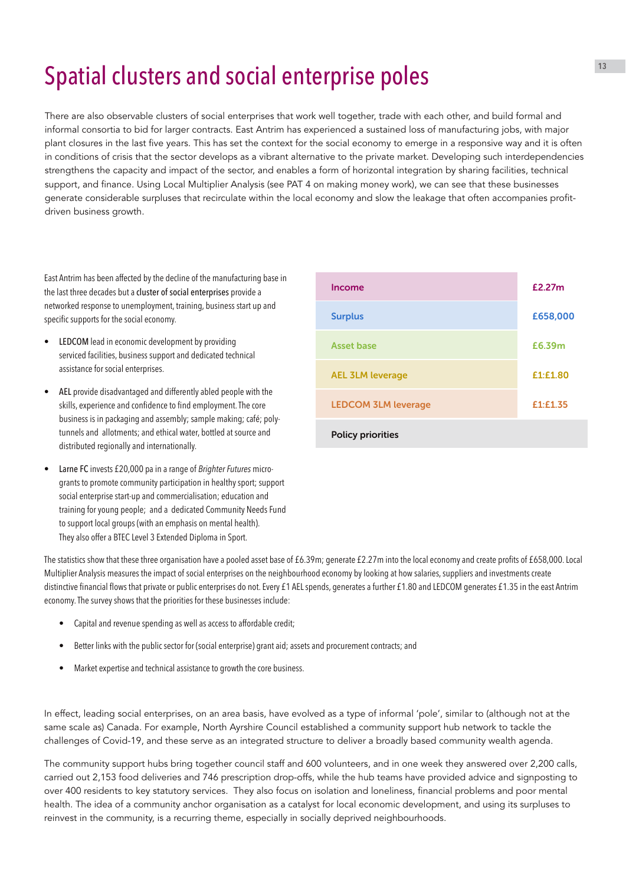# Spatial clusters and social enterprise poles

There are also observable clusters of social enterprises that work well together, trade with each other, and build formal and informal consortia to bid for larger contracts. East Antrim has experienced a sustained loss of manufacturing jobs, with major plant closures in the last five years. This has set the context for the social economy to emerge in a responsive way and it is often in conditions of crisis that the sector develops as a vibrant alternative to the private market. Developing such interdependencies strengthens the capacity and impact of the sector, and enables a form of horizontal integration by sharing facilities, technical support, and finance. Using Local Multiplier Analysis (see PAT 4 on making money work), we can see that these businesses generate considerable surpluses that recirculate within the local economy and slow the leakage that often accompanies profitdriven business growth.

East Antrim has been affected by the decline of the manufacturing base in the last three decades but a cluster of social enterprises provide a networked response to unemployment, training, business start up and specific supports for the social economy.

- LEDCOM lead in economic development by providing serviced facilities, business support and dedicated technical assistance for social enterprises.
- AEL provide disadvantaged and differently abled people with the skills, experience and confidence to find employment. The core business is in packaging and assembly; sample making; café; polytunnels and allotments; and ethical water, bottled at source and distributed regionally and internationally.
- Larne FC invests £20,000 pa in a range of *Brighter Futures* microgrants to promote community participation in healthy sport; support social enterprise start-up and commercialisation; education and training for young people; and a dedicated Community Needs Fund to support local groups (with an emphasis on mental health). They also offer a BTEC Level 3 Extended Diploma in Sport.



The statistics show that these three organisation have a pooled asset base of £6.39m; generate £2.27m into the local economy and create profits of £658,000. Local Multiplier Analysis measures the impact of social enterprises on the neighbourhood economy by looking at how salaries, suppliers and investments create distinctive financial flows that private or public enterprises do not. Every £1 AEL spends, generates a further £1.80 and LEDCOM generates £1.35 in the east Antrim economy. The survey shows that the priorities for these businesses include:

- Capital and revenue spending as well as access to affordable credit;
- Better links with the public sector for (social enterprise) grant aid; assets and procurement contracts; and
- Market expertise and technical assistance to growth the core business.

In effect, leading social enterprises, on an area basis, have evolved as a type of informal 'pole', similar to (although not at the same scale as) Canada. For example, North Ayrshire Council established a community support hub network to tackle the challenges of Covid-19, and these serve as an integrated structure to deliver a broadly based community wealth agenda.

The community support hubs bring together council staff and 600 volunteers, and in one week they answered over 2,200 calls, carried out 2,153 food deliveries and 746 prescription drop-offs, while the hub teams have provided advice and signposting to over 400 residents to key statutory services. They also focus on isolation and loneliness, financial problems and poor mental health. The idea of a community anchor organisation as a catalyst for local economic development, and using its surpluses to reinvest in the community, is a recurring theme, especially in socially deprived neighbourhoods.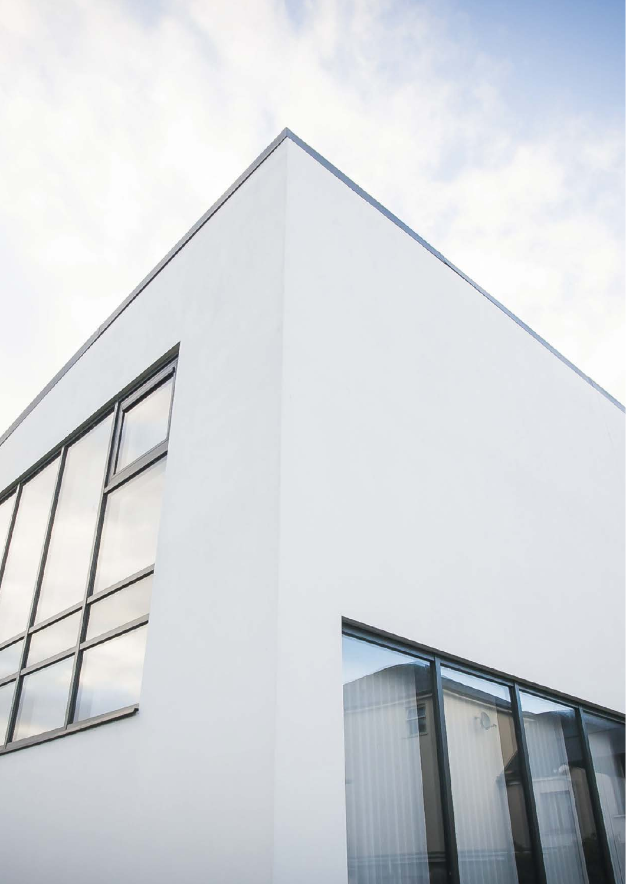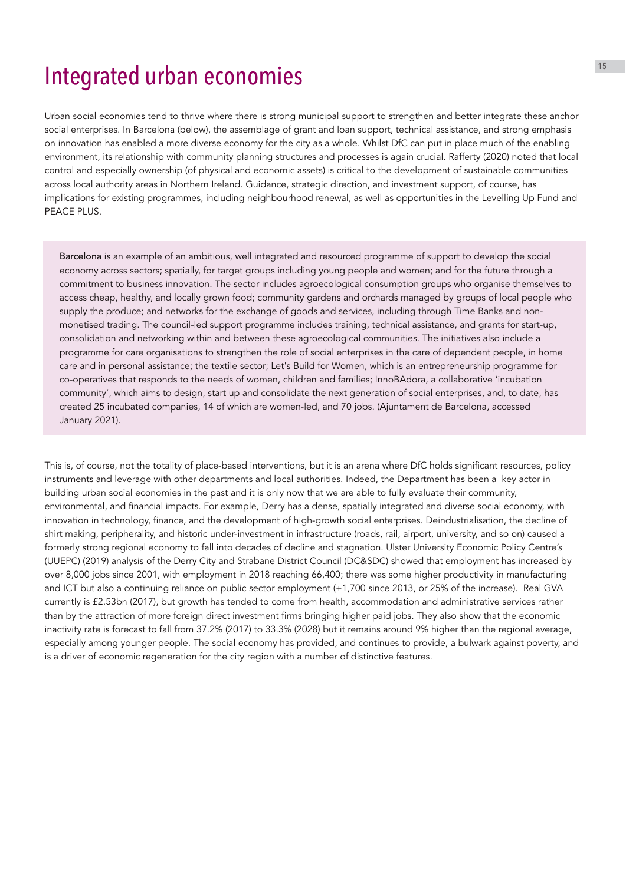### Integrated urban economies and the state of the state of the state of the state of the state of the state of the state of the state of the state of the state of the state of the state of the state of the state of the state

Urban social economies tend to thrive where there is strong municipal support to strengthen and better integrate these anchor social enterprises. In Barcelona (below), the assemblage of grant and loan support, technical assistance, and strong emphasis on innovation has enabled a more diverse economy for the city as a whole. Whilst DfC can put in place much of the enabling environment, its relationship with community planning structures and processes is again crucial. Rafferty (2020) noted that local control and especially ownership (of physical and economic assets) is critical to the development of sustainable communities across local authority areas in Northern Ireland. Guidance, strategic direction, and investment support, of course, has implications for existing programmes, including neighbourhood renewal, as well as opportunities in the Levelling Up Fund and PEACE PLUS.

Barcelona is an example of an ambitious, well integrated and resourced programme of support to develop the social economy across sectors; spatially, for target groups including young people and women; and for the future through a commitment to business innovation. The sector includes agroecological consumption groups who organise themselves to access cheap, healthy, and locally grown food; community gardens and orchards managed by groups of local people who supply the produce; and networks for the exchange of goods and services, including through Time Banks and nonmonetised trading. The council-led support programme includes training, technical assistance, and grants for start-up, consolidation and networking within and between these agroecological communities. The initiatives also include a programme for care organisations to strengthen the role of social enterprises in the care of dependent people, in home care and in personal assistance; the textile sector; Let's Build for Women, which is an entrepreneurship programme for co-operatives that responds to the needs of women, children and families; InnoBAdora, a collaborative 'incubation community', which aims to design, start up and consolidate the next generation of social enterprises, and, to date, has created 25 incubated companies, 14 of which are women-led, and 70 jobs. (Ajuntament de Barcelona, accessed January 2021).

This is, of course, not the totality of place-based interventions, but it is an arena where DfC holds significant resources, policy instruments and leverage with other departments and local authorities. Indeed, the Department has been a key actor in building urban social economies in the past and it is only now that we are able to fully evaluate their community, environmental, and financial impacts. For example, Derry has a dense, spatially integrated and diverse social economy, with innovation in technology, finance, and the development of high-growth social enterprises. Deindustrialisation, the decline of shirt making, peripherality, and historic under-investment in infrastructure (roads, rail, airport, university, and so on) caused a formerly strong regional economy to fall into decades of decline and stagnation. Ulster University Economic Policy Centre's (UUEPC) (2019) analysis of the Derry City and Strabane District Council (DC&SDC) showed that employment has increased by over 8,000 jobs since 2001, with employment in 2018 reaching 66,400; there was some higher productivity in manufacturing and ICT but also a continuing reliance on public sector employment (+1,700 since 2013, or 25% of the increase). Real GVA currently is £2.53bn (2017), but growth has tended to come from health, accommodation and administrative services rather than by the attraction of more foreign direct investment firms bringing higher paid jobs. They also show that the economic inactivity rate is forecast to fall from 37.2% (2017) to 33.3% (2028) but it remains around 9% higher than the regional average, especially among younger people. The social economy has provided, and continues to provide, a bulwark against poverty, and is a driver of economic regeneration for the city region with a number of distinctive features.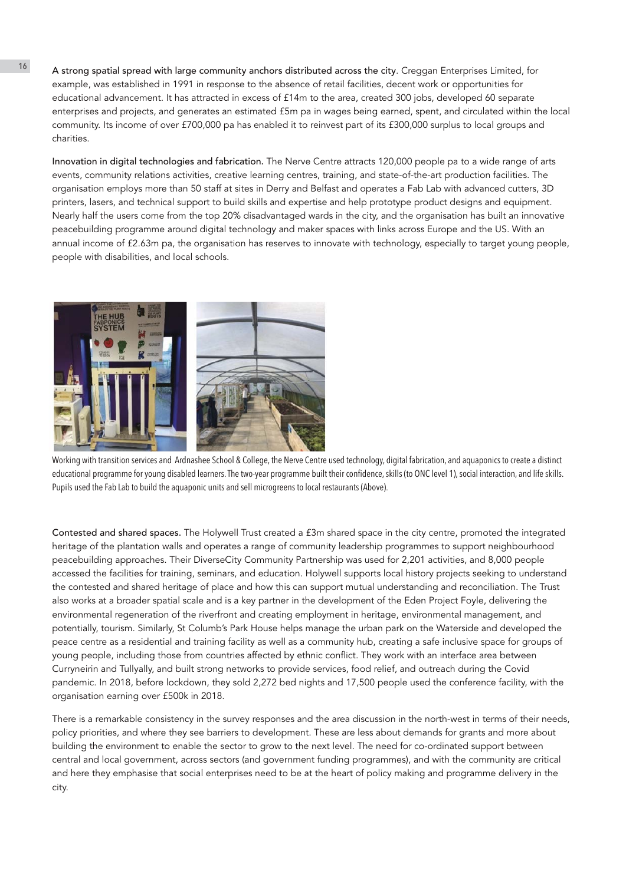**<sup>16</sup>** A strong spatial spread with large community anchors distributed across the city. Creggan Enterprises Limited, for example, was established in 1991 in response to the absence of retail facilities, decent work or opportunities for educational advancement. It has attracted in excess of £14m to the area, created 300 jobs, developed 60 separate enterprises and projects, and generates an estimated £5m pa in wages being earned, spent, and circulated within the local community. Its income of over £700,000 pa has enabled it to reinvest part of its £300,000 surplus to local groups and charities.

Innovation in digital technologies and fabrication. The Nerve Centre attracts 120,000 people pa to a wide range of arts events, community relations activities, creative learning centres, training, and state-of-the-art production facilities. The organisation employs more than 50 staff at sites in Derry and Belfast and operates a Fab Lab with advanced cutters, 3D printers, lasers, and technical support to build skills and expertise and help prototype product designs and equipment. Nearly half the users come from the top 20% disadvantaged wards in the city, and the organisation has built an innovative peacebuilding programme around digital technology and maker spaces with links across Europe and the US. With an annual income of £2.63m pa, the organisation has reserves to innovate with technology, especially to target young people, people with disabilities, and local schools.



Working with transition services and Ardnashee School & College, the Nerve Centre used technology, digital fabrication, and aquaponics to create a distinct educational programme for young disabled learners. The two-year programme built their confidence, skills (to ONC level 1), social interaction, and life skills. Pupils used the Fab Lab to build the aquaponic units and sell microgreens to local restaurants (Above).

Contested and shared spaces. The Holywell Trust created a f3m shared space in the city centre, promoted the integrated heritage of the plantation walls and operates a range of community leadership programmes to support neighbourhood peacebuilding approaches. Their DiverseCity Community Partnership was used for 2,201 activities, and 8,000 people accessed the facilities for training, seminars, and education. Holywell supports local history projects seeking to understand the contested and shared heritage of place and how this can support mutual understanding and reconciliation. The Trust also works at a broader spatial scale and is a key partner in the development of the Eden Project Foyle, delivering the environmental regeneration of the riverfront and creating employment in heritage, environmental management, and potentially, tourism. Similarly, St Columb's Park House helps manage the urban park on the Waterside and developed the peace centre as a residential and training facility as well as a community hub, creating a safe inclusive space for groups of young people, including those from countries affected by ethnic conflict. They work with an interface area between Curryneirin and Tullyally, and built strong networks to provide services, food relief, and outreach during the Covid pandemic. In 2018, before lockdown, they sold 2,272 bed nights and 17,500 people used the conference facility, with the organisation earning over £500k in 2018.

There is a remarkable consistency in the survey responses and the area discussion in the north-west in terms of their needs, policy priorities, and where they see barriers to development. These are less about demands for grants and more about building the environment to enable the sector to grow to the next level. The need for co-ordinated support between central and local government, across sectors (and government funding programmes), and with the community are critical and here they emphasise that social enterprises need to be at the heart of policy making and programme delivery in the city.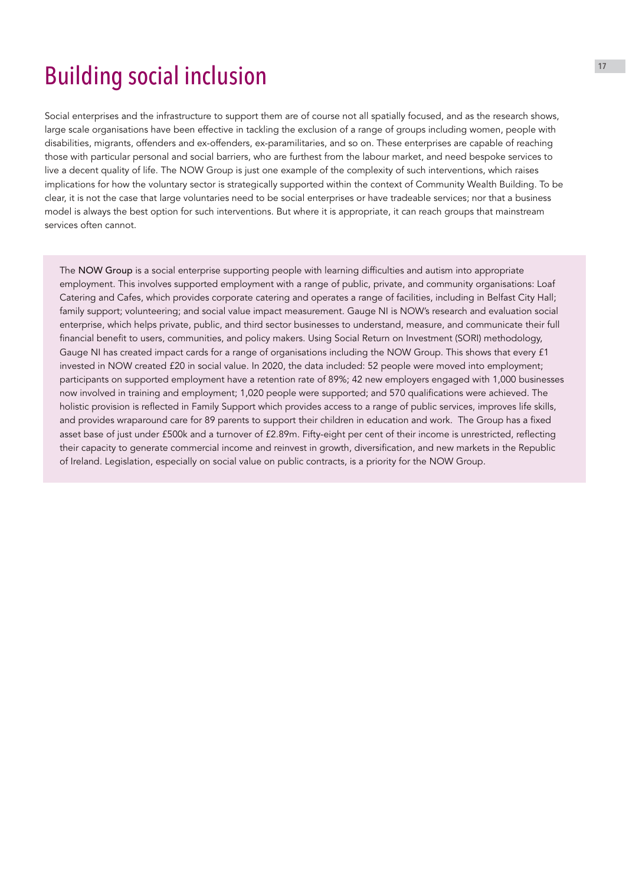# **17** Building social inclusion

Social enterprises and the infrastructure to support them are of course not all spatially focused, and as the research shows, large scale organisations have been effective in tackling the exclusion of a range of groups including women, people with disabilities, migrants, offenders and ex-offenders, ex-paramilitaries, and so on. These enterprises are capable of reaching those with particular personal and social barriers, who are furthest from the labour market, and need bespoke services to live a decent quality of life. The NOW Group is just one example of the complexity of such interventions, which raises implications for how the voluntary sector is strategically supported within the context of Community Wealth Building. To be clear, it is not the case that large voluntaries need to be social enterprises or have tradeable services; nor that a business model is always the best option for such interventions. But where it is appropriate, it can reach groups that mainstream services often cannot.

The NOW Group is a social enterprise supporting people with learning difficulties and autism into appropriate employment. This involves supported employment with a range of public, private, and community organisations: Loaf Catering and Cafes, which provides corporate catering and operates a range of facilities, including in Belfast City Hall; family support; volunteering; and social value impact measurement. Gauge NI is NOW's research and evaluation social enterprise, which helps private, public, and third sector businesses to understand, measure, and communicate their full financial benefit to users, communities, and policy makers. Using Social Return on Investment (SORI) methodology, Gauge NI has created impact cards for a range of organisations including the NOW Group. This shows that every £1 invested in NOW created £20 in social value. In 2020, the data included: 52 people were moved into employment; participants on supported employment have a retention rate of 89%; 42 new employers engaged with 1,000 businesses now involved in training and employment; 1,020 people were supported; and 570 qualifications were achieved. The holistic provision is reflected in Family Support which provides access to a range of public services, improves life skills, and provides wraparound care for 89 parents to support their children in education and work. The Group has a fixed asset base of just under £500k and a turnover of £2.89m. Fifty-eight per cent of their income is unrestricted, reflecting their capacity to generate commercial income and reinvest in growth, diversification, and new markets in the Republic of Ireland. Legislation, especially on social value on public contracts, is a priority for the NOW Group.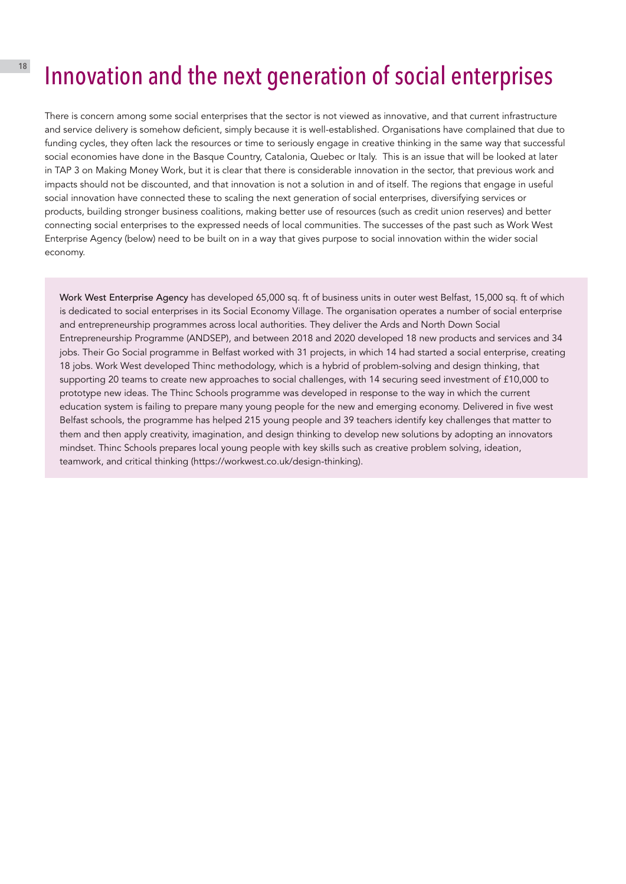### <sup>18</sup> Innovation and the next generation of social enterprises

There is concern among some social enterprises that the sector is not viewed as innovative, and that current infrastructure and service delivery is somehow deficient, simply because it is well-established. Organisations have complained that due to funding cycles, they often lack the resources or time to seriously engage in creative thinking in the same way that successful social economies have done in the Basque Country, Catalonia, Quebec or Italy. This is an issue that will be looked at later in TAP 3 on Making Money Work, but it is clear that there is considerable innovation in the sector, that previous work and impacts should not be discounted, and that innovation is not a solution in and of itself. The regions that engage in useful social innovation have connected these to scaling the next generation of social enterprises, diversifying services or products, building stronger business coalitions, making better use of resources (such as credit union reserves) and better connecting social enterprises to the expressed needs of local communities. The successes of the past such as Work West Enterprise Agency (below) need to be built on in a way that gives purpose to social innovation within the wider social economy.

Work West Enterprise Agency has developed 65,000 sq. ft of business units in outer west Belfast, 15,000 sq. ft of which is dedicated to social enterprises in its Social Economy Village. The organisation operates a number of social enterprise and entrepreneurship programmes across local authorities. They deliver the Ards and North Down Social Entrepreneurship Programme (ANDSEP), and between 2018 and 2020 developed 18 new products and services and 34 jobs. Their Go Social programme in Belfast worked with 31 projects, in which 14 had started a social enterprise, creating 18 jobs. Work West developed Thinc methodology, which is a hybrid of problem-solving and design thinking, that supporting 20 teams to create new approaches to social challenges, with 14 securing seed investment of £10,000 to prototype new ideas. The Thinc Schools programme was developed in response to the way in which the current education system is failing to prepare many young people for the new and emerging economy. Delivered in five west Belfast schools, the programme has helped 215 young people and 39 teachers identify key challenges that matter to them and then apply creativity, imagination, and design thinking to develop new solutions by adopting an innovators mindset. Thinc Schools prepares local young people with key skills such as creative problem solving, ideation, teamwork, and critical thinking (https://workwest.co.uk/design-thinking).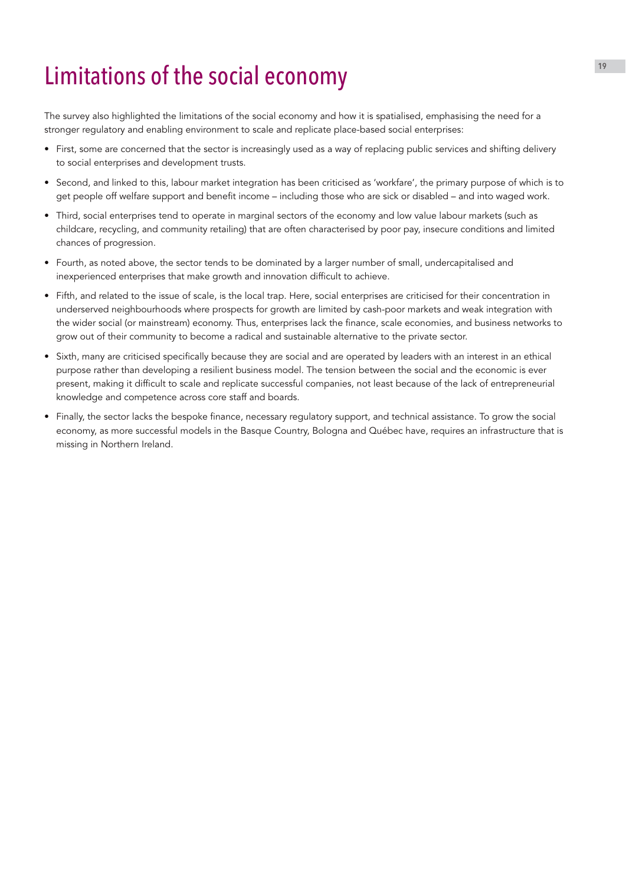# **19** Limitations of the social economy

The survey also highlighted the limitations of the social economy and how it is spatialised, emphasising the need for a stronger regulatory and enabling environment to scale and replicate place-based social enterprises:

- First, some are concerned that the sector is increasingly used as a way of replacing public services and shifting delivery to social enterprises and development trusts.
- Second, and linked to this, labour market integration has been criticised as 'workfare', the primary purpose of which is to get people off welfare support and benefit income – including those who are sick or disabled – and into waged work.
- Third, social enterprises tend to operate in marginal sectors of the economy and low value labour markets (such as childcare, recycling, and community retailing) that are often characterised by poor pay, insecure conditions and limited chances of progression.
- Fourth, as noted above, the sector tends to be dominated by a larger number of small, undercapitalised and inexperienced enterprises that make growth and innovation difficult to achieve.
- Fifth, and related to the issue of scale, is the local trap. Here, social enterprises are criticised for their concentration in underserved neighbourhoods where prospects for growth are limited by cash-poor markets and weak integration with the wider social (or mainstream) economy. Thus, enterprises lack the finance, scale economies, and business networks to grow out of their community to become a radical and sustainable alternative to the private sector.
- Sixth, many are criticised specifically because they are social and are operated by leaders with an interest in an ethical purpose rather than developing a resilient business model. The tension between the social and the economic is ever present, making it difficult to scale and replicate successful companies, not least because of the lack of entrepreneurial knowledge and competence across core staff and boards.
- Finally, the sector lacks the bespoke finance, necessary regulatory support, and technical assistance. To grow the social economy, as more successful models in the Basque Country, Bologna and Québec have, requires an infrastructure that is missing in Northern Ireland.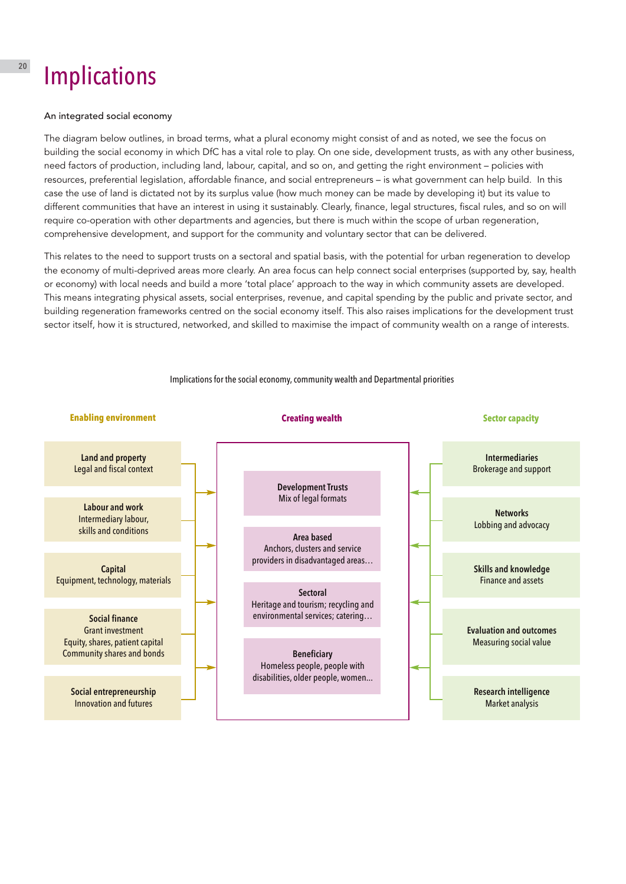# **<sup>20</sup>** Implications

#### An integrated social economy

The diagram below outlines, in broad terms, what a plural economy might consist of and as noted, we see the focus on building the social economy in which DfC has a vital role to play. On one side, development trusts, as with any other business, need factors of production, including land, labour, capital, and so on, and getting the right environment – policies with resources, preferential legislation, affordable finance, and social entrepreneurs – is what government can help build. In this case the use of land is dictated not by its surplus value (how much money can be made by developing it) but its value to different communities that have an interest in using it sustainably. Clearly, finance, legal structures, fiscal rules, and so on will require co-operation with other departments and agencies, but there is much within the scope of urban regeneration, comprehensive development, and support for the community and voluntary sector that can be delivered.

This relates to the need to support trusts on a sectoral and spatial basis, with the potential for urban regeneration to develop the economy of multi-deprived areas more clearly. An area focus can help connect social enterprises (supported by, say, health or economy) with local needs and build a more 'total place' approach to the way in which community assets are developed. This means integrating physical assets, social enterprises, revenue, and capital spending by the public and private sector, and building regeneration frameworks centred on the social economy itself. This also raises implications for the development trust sector itself, how it is structured, networked, and skilled to maximise the impact of community wealth on a range of interests.



#### Implications for the social economy, community wealth and Departmental priorities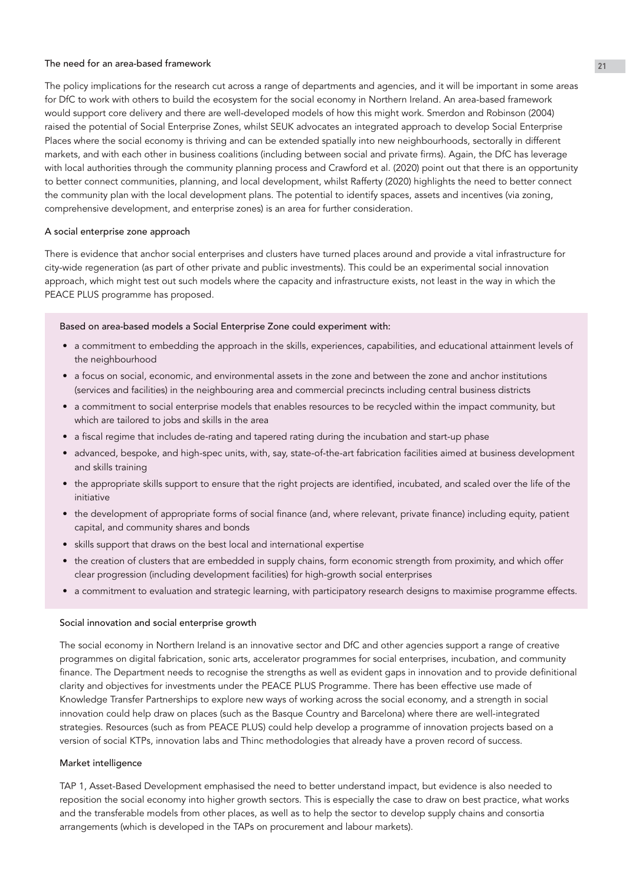#### The need for an area-based framework **21**

The policy implications for the research cut across a range of departments and agencies, and it will be important in some areas for DfC to work with others to build the ecosystem for the social economy in Northern Ireland. An area-based framework would support core delivery and there are well-developed models of how this might work. Smerdon and Robinson (2004) raised the potential of Social Enterprise Zones, whilst SEUK advocates an integrated approach to develop Social Enterprise Places where the social economy is thriving and can be extended spatially into new neighbourhoods, sectorally in different markets, and with each other in business coalitions (including between social and private firms). Again, the DfC has leverage with local authorities through the community planning process and Crawford et al. (2020) point out that there is an opportunity to better connect communities, planning, and local development, whilst Rafferty (2020) highlights the need to better connect the community plan with the local development plans. The potential to identify spaces, assets and incentives (via zoning, comprehensive development, and enterprise zones) is an area for further consideration.

#### A social enterprise zone approach

There is evidence that anchor social enterprises and clusters have turned places around and provide a vital infrastructure for city-wide regeneration (as part of other private and public investments). This could be an experimental social innovation approach, which might test out such models where the capacity and infrastructure exists, not least in the way in which the PEACE PLUS programme has proposed.

#### Based on area-based models a Social Enterprise Zone could experiment with:

- a commitment to embedding the approach in the skills, experiences, capabilities, and educational attainment levels of the neighbourhood
- a focus on social, economic, and environmental assets in the zone and between the zone and anchor institutions (services and facilities) in the neighbouring area and commercial precincts including central business districts
- a commitment to social enterprise models that enables resources to be recycled within the impact community, but which are tailored to jobs and skills in the area
- a fiscal regime that includes de-rating and tapered rating during the incubation and start-up phase
- advanced, bespoke, and high-spec units, with, say, state-of-the-art fabrication facilities aimed at business development and skills training
- the appropriate skills support to ensure that the right projects are identified, incubated, and scaled over the life of the initiative
- the development of appropriate forms of social finance (and, where relevant, private finance) including equity, patient capital, and community shares and bonds
- skills support that draws on the best local and international expertise
- the creation of clusters that are embedded in supply chains, form economic strength from proximity, and which offer clear progression (including development facilities) for high-growth social enterprises
- a commitment to evaluation and strategic learning, with participatory research designs to maximise programme effects.

#### Social innovation and social enterprise growth

The social economy in Northern Ireland is an innovative sector and DfC and other agencies support a range of creative programmes on digital fabrication, sonic arts, accelerator programmes for social enterprises, incubation, and community finance. The Department needs to recognise the strengths as well as evident gaps in innovation and to provide definitional clarity and objectives for investments under the PEACE PLUS Programme. There has been effective use made of Knowledge Transfer Partnerships to explore new ways of working across the social economy, and a strength in social innovation could help draw on places (such as the Basque Country and Barcelona) where there are well-integrated strategies. Resources (such as from PEACE PLUS) could help develop a programme of innovation projects based on a version of social KTPs, innovation labs and Thinc methodologies that already have a proven record of success.

#### Market intelligence

TAP 1, Asset-Based Development emphasised the need to better understand impact, but evidence is also needed to reposition the social economy into higher growth sectors. This is especially the case to draw on best practice, what works and the transferable models from other places, as well as to help the sector to develop supply chains and consortia arrangements (which is developed in the TAPs on procurement and labour markets).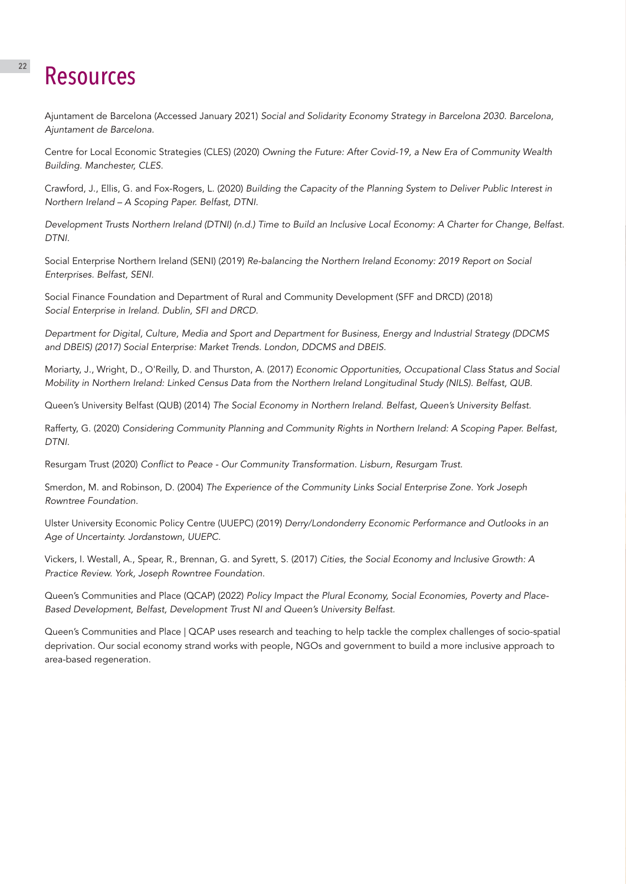# **<sup>22</sup>** Resources

Ajuntament de Barcelona (Accessed January 2021) Social and Solidarity Economy Strategy in Barcelona 2030. Barcelona, Ajuntament de Barcelona.

Centre for Local Economic Strategies (CLES) (2020) Owning the Future: After Covid-19, a New Era of Community Wealth Building. Manchester, CLES.

Crawford, J., Ellis, G. and Fox-Rogers, L. (2020) Building the Capacity of the Planning System to Deliver Public Interest in Northern Ireland – A Scoping Paper. Belfast, DTNI.

Development Trusts Northern Ireland (DTNI) (n.d.) Time to Build an Inclusive Local Economy: A Charter for Change, Belfast. DTNI.

Social Enterprise Northern Ireland (SENI) (2019) Re-balancing the Northern Ireland Economy: 2019 Report on Social Enterprises. Belfast, SENI.

Social Finance Foundation and Department of Rural and Community Development (SFF and DRCD) (2018) Social Enterprise in Ireland. Dublin, SFI and DRCD.

Department for Digital, Culture, Media and Sport and Department for Business, Energy and Industrial Strategy (DDCMS and DBEIS) (2017) Social Enterprise: Market Trends. London, DDCMS and DBEIS.

Moriarty, J., Wright, D., O'Reilly, D. and Thurston, A. (2017) Economic Opportunities, Occupational Class Status and Social Mobility in Northern Ireland: Linked Census Data from the Northern Ireland Longitudinal Study (NILS). Belfast, QUB.

Queen's University Belfast (QUB) (2014) The Social Economy in Northern Ireland. Belfast, Queen's University Belfast.

Rafferty, G. (2020) Considering Community Planning and Community Rights in Northern Ireland: A Scoping Paper. Belfast, DTNI.

Resurgam Trust (2020) Conflict to Peace - Our Community Transformation. Lisburn, Resurgam Trust.

Smerdon, M. and Robinson, D. (2004) The Experience of the Community Links Social Enterprise Zone. York Joseph Rowntree Foundation.

Ulster University Economic Policy Centre (UUEPC) (2019) Derry/Londonderry Economic Performance and Outlooks in an Age of Uncertainty. Jordanstown, UUEPC.

Vickers, I. Westall, A., Spear, R., Brennan, G. and Syrett, S. (2017) Cities, the Social Economy and Inclusive Growth: A Practice Review. York, Joseph Rowntree Foundation.

Queen's Communities and Place (QCAP) (2022) Policy Impact the Plural Economy, Social Economies, Poverty and Place-Based Development, Belfast, Development Trust NI and Queen's University Belfast.

Queen's Communities and Place | QCAP uses research and teaching to help tackle the complex challenges of socio-spatial deprivation. Our social economy strand works with people, NGOs and government to build a more inclusive approach to area-based regeneration.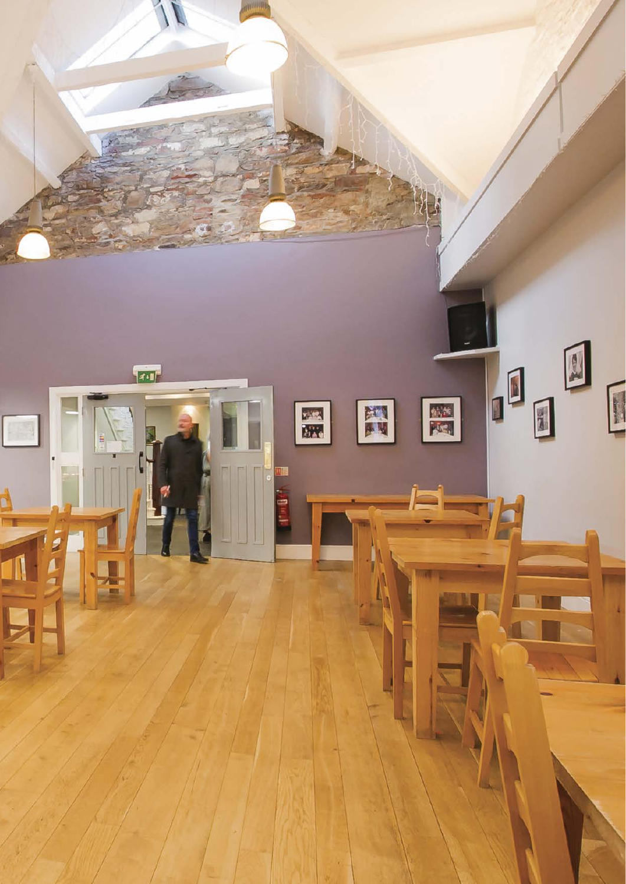